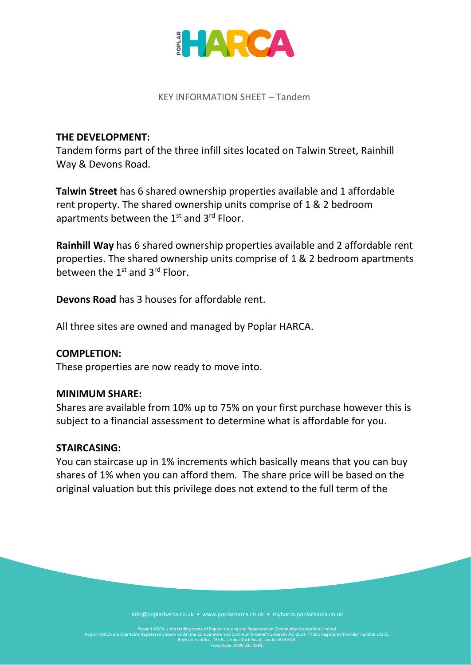

#### KEY INFORMATION SHEET – Tandem

### **THE DEVELOPMENT:**

Tandem forms part of the three infill sites located on Talwin Street, Rainhill Way & Devons Road.

**Talwin Street** has 6 shared ownership properties available and 1 affordable rent property. The shared ownership units comprise of 1 & 2 bedroom apartments between the  $1<sup>st</sup>$  and  $3<sup>rd</sup>$  Floor.

**Rainhill Way** has 6 shared ownership properties available and 2 affordable rent properties. The shared ownership units comprise of 1 & 2 bedroom apartments between the  $1<sup>st</sup>$  and  $3<sup>rd</sup>$  Floor.

**Devons Road** has 3 houses for affordable rent.

All three sites are owned and managed by Poplar HARCA.

#### **COMPLETION:**

These properties are now ready to move into.

#### **MINIMUM SHARE:**

Shares are available from 10% up to 75% on your first purchase however this is subject to a financial assessment to determine what is affordable for you.

#### **STAIRCASING:**

You can staircase up in 1% increments which basically means that you can buy shares of 1% when you can afford them. The share price will be based on the original valuation but this privilege does not extend to the full term of the

info@poplarharca.co.uk • www.poplarharca.co.uk • myharca.poplarharca.co.uk

Poplar HARCA is the trading name of Poplar Housing and Regeneration Community Association Limited.<br>Poplar HARCA is a charitable Registered Society under the Co-operative and Community Benefit Societies Act 2014<br>Registered Freephone: 0800 035 1991.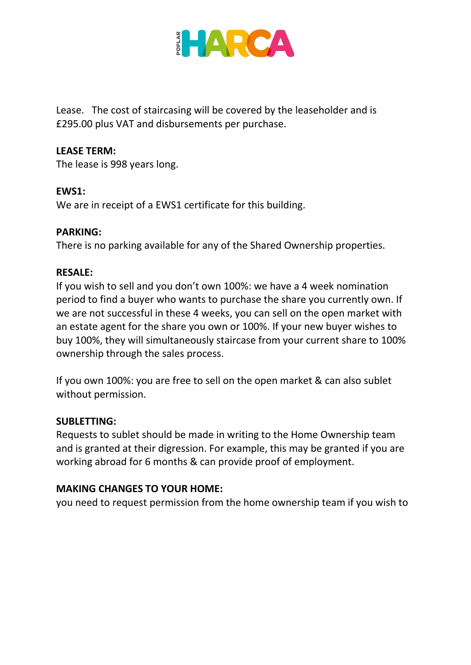

Lease. The cost of staircasing will be covered by the leaseholder and is £295.00 plus VAT and disbursements per purchase.

## **LEASE TERM:**

The lease is 998 years long.

### **EWS1:**

We are in receipt of a EWS1 certificate for this building.

## **PARKING:**

There is no parking available for any of the Shared Ownership properties.

## **RESALE:**

If you wish to sell and you don't own 100%: we have a 4 week nomination period to find a buyer who wants to purchase the share you currently own. If we are not successful in these 4 weeks, you can sell on the open market with an estate agent for the share you own or 100%. If your new buyer wishes to buy 100%, they will simultaneously staircase from your current share to 100% ownership through the sales process.

If you own 100%: you are free to sell on the open market & can also sublet without permission.

### **SUBLETTING:**

Requests to sublet should be made in writing to the Home Ownership team and is granted at their digression. For example, this may be granted if you are working abroad for 6 months & can provide proof of employment.

# **MAKING CHANGES TO YOUR HOME:**

you need to request permission from the home ownership team if you wish to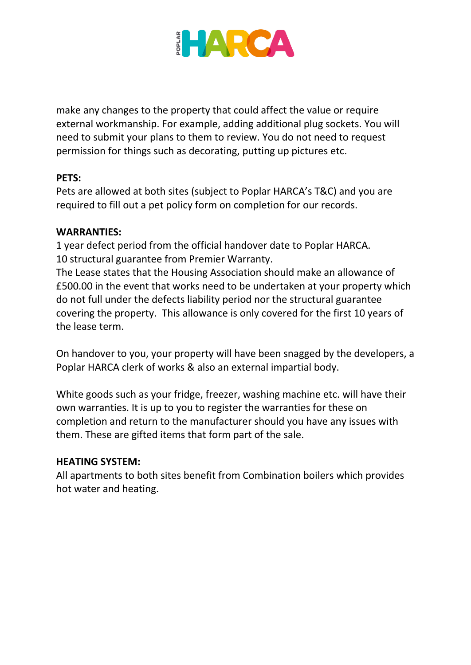

make any changes to the property that could affect the value or require external workmanship. For example, adding additional plug sockets. You will need to submit your plans to them to review. You do not need to request permission for things such as decorating, putting up pictures etc.

# **PETS:**

Pets are allowed at both sites (subject to Poplar HARCA's T&C) and you are required to fill out a pet policy form on completion for our records.

## **WARRANTIES:**

1 year defect period from the official handover date to Poplar HARCA. 10 structural guarantee from Premier Warranty.

The Lease states that the Housing Association should make an allowance of £500.00 in the event that works need to be undertaken at your property which do not full under the defects liability period nor the structural guarantee covering the property. This allowance is only covered for the first 10 years of the lease term.

On handover to you, your property will have been snagged by the developers, a Poplar HARCA clerk of works & also an external impartial body.

White goods such as your fridge, freezer, washing machine etc. will have their own warranties. It is up to you to register the warranties for these on completion and return to the manufacturer should you have any issues with them. These are gifted items that form part of the sale.

### **HEATING SYSTEM:**

All apartments to both sites benefit from Combination boilers which provides hot water and heating.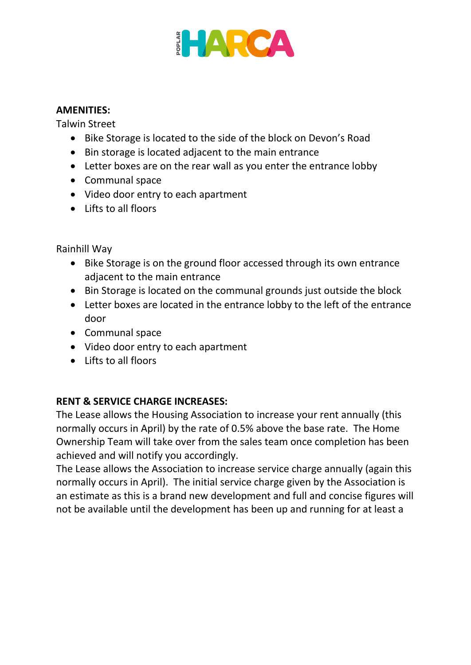

### **AMENITIES:**

Talwin Street

- Bike Storage is located to the side of the block on Devon's Road
- Bin storage is located adjacent to the main entrance
- Letter boxes are on the rear wall as you enter the entrance lobby
- Communal space
- Video door entry to each apartment
- Lifts to all floors

Rainhill Way

- Bike Storage is on the ground floor accessed through its own entrance adjacent to the main entrance
- Bin Storage is located on the communal grounds just outside the block
- Letter boxes are located in the entrance lobby to the left of the entrance door
- Communal space
- Video door entry to each apartment
- Lifts to all floors

# **RENT & SERVICE CHARGE INCREASES:**

The Lease allows the Housing Association to increase your rent annually (this normally occurs in April) by the rate of 0.5% above the base rate. The Home Ownership Team will take over from the sales team once completion has been achieved and will notify you accordingly.

The Lease allows the Association to increase service charge annually (again this normally occurs in April). The initial service charge given by the Association is an estimate as this is a brand new development and full and concise figures will not be available until the development has been up and running for at least a